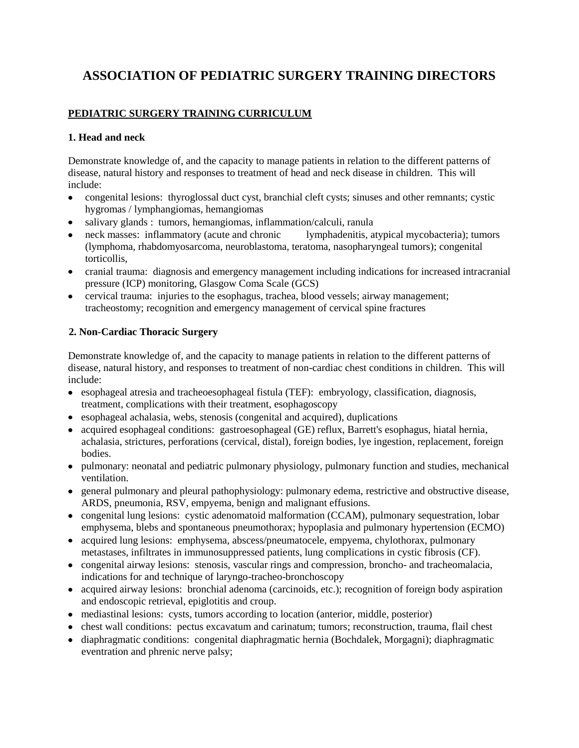# **ASSOCIATION OF PEDIATRIC SURGERY TRAINING DIRECTORS**

# **PEDIATRIC SURGERY TRAINING CURRICULUM**

# **1. Head and neck**

Demonstrate knowledge of, and the capacity to manage patients in relation to the different patterns of disease, natural history and responses to treatment of head and neck disease in children. This will include:

- $\bullet$ congenital lesions: thyroglossal duct cyst, branchial cleft cysts; sinuses and other remnants; cystic hygromas / lymphangiomas, hemangiomas
- salivary glands : tumors, hemangiomas, inflammation/calculi, ranula
- neck masses: inflammatory (acute and chronic lymphadenitis, atypical mycobacteria); tumors  $\bullet$ (lymphoma, rhabdomyosarcoma, neuroblastoma, teratoma, nasopharyngeal tumors); congenital torticollis,
- cranial trauma: diagnosis and emergency management including indications for increased intracranial pressure (ICP) monitoring, Glasgow Coma Scale (GCS)
- cervical trauma: injuries to the esophagus, trachea, blood vessels; airway management; tracheostomy; recognition and emergency management of cervical spine fractures

# **2. Non-Cardiac Thoracic Surgery**

Demonstrate knowledge of, and the capacity to manage patients in relation to the different patterns of disease, natural history, and responses to treatment of non-cardiac chest conditions in children. This will include:

- esophageal atresia and tracheoesophageal fistula (TEF): embryology, classification, diagnosis, treatment, complications with their treatment, esophagoscopy
- esophageal achalasia, webs, stenosis (congenital and acquired), duplications
- acquired esophageal conditions: gastroesophageal (GE) reflux, Barrett's esophagus, hiatal hernia, achalasia, strictures, perforations (cervical, distal), foreign bodies, lye ingestion, replacement, foreign bodies.
- pulmonary: neonatal and pediatric pulmonary physiology, pulmonary function and studies, mechanical ventilation.
- general pulmonary and pleural pathophysiology: pulmonary edema, restrictive and obstructive disease, ARDS, pneumonia, RSV, empyema, benign and malignant effusions.
- congenital lung lesions: cystic adenomatoid malformation (CCAM), pulmonary sequestration, lobar emphysema, blebs and spontaneous pneumothorax; hypoplasia and pulmonary hypertension (ECMO)
- acquired lung lesions: emphysema, abscess/pneumatocele, empyema, chylothorax, pulmonary metastases, infiltrates in immunosuppressed patients, lung complications in cystic fibrosis (CF).
- congenital airway lesions: stenosis, vascular rings and compression, broncho- and tracheomalacia, indications for and technique of laryngo-tracheo-bronchoscopy
- acquired airway lesions: bronchial adenoma (carcinoids, etc.); recognition of foreign body aspiration and endoscopic retrieval, epiglotitis and croup.
- mediastinal lesions: cysts, tumors according to location (anterior, middle, posterior)
- chest wall conditions: pectus excavatum and carinatum; tumors; reconstruction, trauma, flail chest
- diaphragmatic conditions: congenital diaphragmatic hernia (Bochdalek, Morgagni); diaphragmatic eventration and phrenic nerve palsy;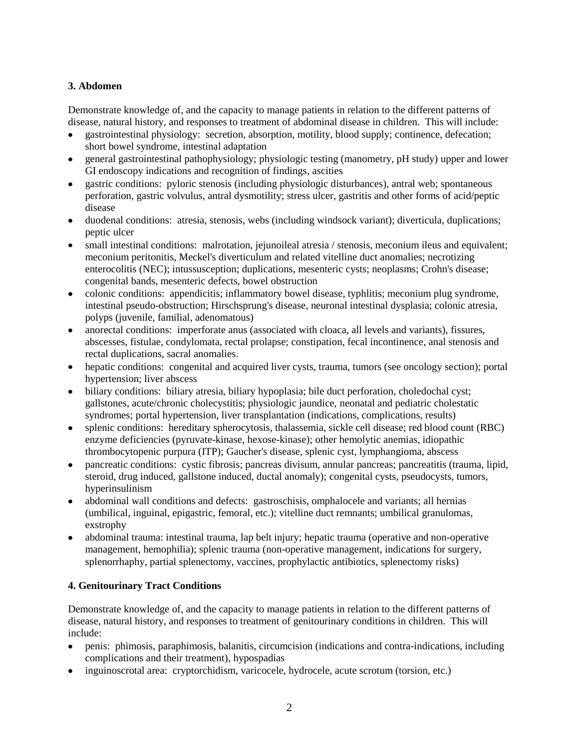# **3. Abdomen**

Demonstrate knowledge of, and the capacity to manage patients in relation to the different patterns of disease, natural history, and responses to treatment of abdominal disease in children. This will include:

- gastrointestinal physiology: secretion, absorption, motility, blood supply; continence, defecation;  $\bullet$ short bowel syndrome, intestinal adaptation
- general gastrointestinal pathophysiology; physiologic testing (manometry, pH study) upper and lower GI endoscopy indications and recognition of findings, ascities
- gastric conditions: pyloric stenosis (including physiologic disturbances), antral web; spontaneous perforation, gastric volvulus, antral dysmotility; stress ulcer, gastritis and other forms of acid/peptic disease
- duodenal conditions: atresia, stenosis, webs (including windsock variant); diverticula, duplications;  $\bullet$ peptic ulcer
- small intestinal conditions: malrotation, jejunoileal atresia / stenosis, meconium ileus and equivalent; meconium peritonitis, Meckel's diverticulum and related vitelline duct anomalies; necrotizing enterocolitis (NEC); intussusception; duplications, mesenteric cysts; neoplasms; Crohn's disease; congenital bands, mesenteric defects, bowel obstruction
- colonic conditions: appendicitis; inflammatory bowel disease, typhlitis; meconium plug syndrome,  $\bullet$ intestinal pseudo-obstruction; Hirschsprung's disease, neuronal intestinal dysplasia; colonic atresia, polyps (juvenile, familial, adenomatous)
- anorectal conditions: imperforate anus (associated with cloaca, all levels and variants), fissures,  $\bullet$ abscesses, fistulae, condylomata, rectal prolapse; constipation, fecal incontinence, anal stenosis and rectal duplications, sacral anomalies.
- hepatic conditions: congenital and acquired liver cysts, trauma, tumors (see oncology section); portal hypertension; liver abscess
- biliary conditions: biliary atresia, biliary hypoplasia; bile duct perforation, choledochal cyst; gallstones, acute/chronic cholecystitis; physiologic jaundice, neonatal and pediatric cholestatic syndromes; portal hypertension, liver transplantation (indications, complications, results)
- splenic conditions: hereditary spherocytosis, thalassemia, sickle cell disease; red blood count (RBC) enzyme deficiencies (pyruvate-kinase, hexose-kinase); other hemolytic anemias, idiopathic thrombocytopenic purpura (ITP); Gaucher's disease, splenic cyst, lymphangioma, abscess
- pancreatic conditions: cystic fibrosis; pancreas divisum, annular pancreas; pancreatitis (trauma, lipid, steroid, drug induced, gallstone induced, ductal anomaly); congenital cysts, pseudocysts, tumors, hyperinsulinism
- abdominal wall conditions and defects: gastroschisis, omphalocele and variants; all hernias (umbilical, inguinal, epigastric, femoral, etc.); vitelline duct remnants; umbilical granulomas, exstrophy
- abdominal trauma: intestinal trauma, lap belt injury; hepatic trauma (operative and non-operative management, hemophilia); splenic trauma (non-operative management, indications for surgery, splenorrhaphy, partial splenectomy, vaccines, prophylactic antibiotics, splenectomy risks)

# **4. Genitourinary Tract Conditions**

Demonstrate knowledge of, and the capacity to manage patients in relation to the different patterns of disease, natural history, and responses to treatment of genitourinary conditions in children. This will include:

- penis: phimosis, paraphimosis, balanitis, circumcision (indications and contra-indications, including complications and their treatment), hypospadias
- inguinoscrotal area: cryptorchidism, varicocele, hydrocele, acute scrotum (torsion, etc.)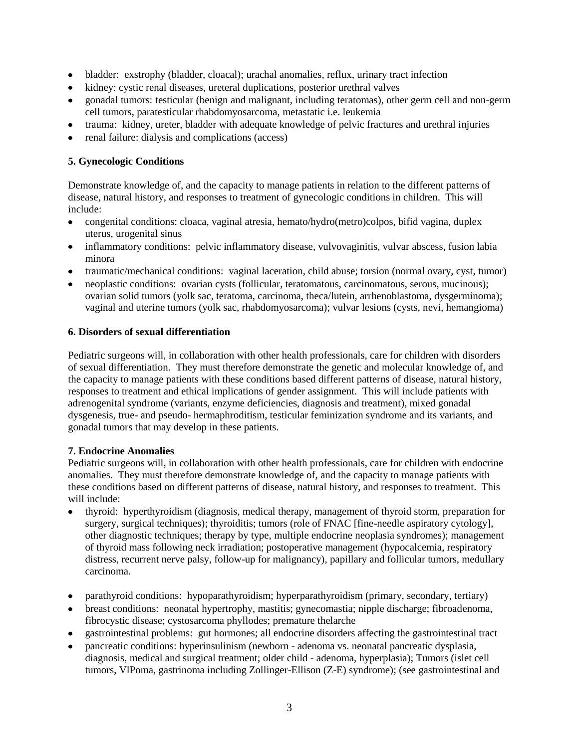- bladder: exstrophy (bladder, cloacal); urachal anomalies, reflux, urinary tract infection
- kidney: cystic renal diseases, ureteral duplications, posterior urethral valves
- gonadal tumors: testicular (benign and malignant, including teratomas), other germ cell and non-germ cell tumors, paratesticular rhabdomyosarcoma, metastatic i.e. leukemia
- trauma: kidney, ureter, bladder with adequate knowledge of pelvic fractures and urethral injuries  $\bullet$
- renal failure: dialysis and complications (access)

# **5. Gynecologic Conditions**

Demonstrate knowledge of, and the capacity to manage patients in relation to the different patterns of disease, natural history, and responses to treatment of gynecologic conditions in children. This will include:

- congenital conditions: cloaca, vaginal atresia, hemato/hydro(metro)colpos, bifid vagina, duplex uterus, urogenital sinus
- inflammatory conditions: pelvic inflammatory disease, vulvovaginitis, vulvar abscess, fusion labia minora
- traumatic/mechanical conditions: vaginal laceration, child abuse; torsion (normal ovary, cyst, tumor)
- neoplastic conditions: ovarian cysts (follicular, teratomatous, carcinomatous, serous, mucinous); ovarian solid tumors (yolk sac, teratoma, carcinoma, theca/lutein, arrhenoblastoma, dysgerminoma); vaginal and uterine tumors (yolk sac, rhabdomyosarcoma); vulvar lesions (cysts, nevi, hemangioma)

## **6. Disorders of sexual differentiation**

Pediatric surgeons will, in collaboration with other health professionals, care for children with disorders of sexual differentiation. They must therefore demonstrate the genetic and molecular knowledge of, and the capacity to manage patients with these conditions based different patterns of disease, natural history, responses to treatment and ethical implications of gender assignment. This will include patients with adrenogenital syndrome (variants, enzyme deficiencies, diagnosis and treatment), mixed gonadal dysgenesis, true- and pseudo- hermaphroditism, testicular feminization syndrome and its variants, and gonadal tumors that may develop in these patients.

## **7. Endocrine Anomalies**

Pediatric surgeons will, in collaboration with other health professionals, care for children with endocrine anomalies. They must therefore demonstrate knowledge of, and the capacity to manage patients with these conditions based on different patterns of disease, natural history, and responses to treatment. This will include:

- thyroid: hyperthyroidism (diagnosis, medical therapy, management of thyroid storm, preparation for surgery, surgical techniques); thyroiditis; tumors (role of FNAC [fine-needle aspiratory cytology], other diagnostic techniques; therapy by type, multiple endocrine neoplasia syndromes); management of thyroid mass following neck irradiation; postoperative management (hypocalcemia, respiratory distress, recurrent nerve palsy, follow-up for malignancy), papillary and follicular tumors, medullary carcinoma.
- parathyroid conditions: hypoparathyroidism; hyperparathyroidism (primary, secondary, tertiary)
- breast conditions: neonatal hypertrophy, mastitis; gynecomastia; nipple discharge; fibroadenoma, fibrocystic disease; cystosarcoma phyllodes; premature thelarche
- gastrointestinal problems: gut hormones; all endocrine disorders affecting the gastrointestinal tract
- pancreatic conditions: hyperinsulinism (newborn adenoma vs. neonatal pancreatic dysplasia, diagnosis, medical and surgical treatment; older child - adenoma, hyperplasia); Tumors (islet cell tumors, VlPoma, gastrinoma including Zollinger-Ellison (Z-E) syndrome); (see gastrointestinal and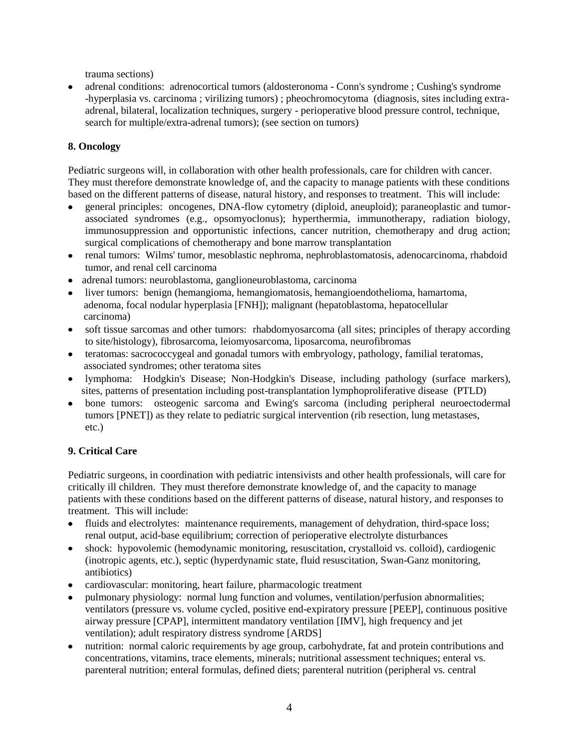trauma sections)

adrenal conditions: adrenocortical tumors (aldosteronoma - Conn's syndrome ; Cushing's syndrome -hyperplasia vs. carcinoma ; virilizing tumors) ; pheochromocytoma (diagnosis, sites including extraadrenal, bilateral, localization techniques, surgery - perioperative blood pressure control, technique, search for multiple/extra-adrenal tumors); (see section on tumors)

# **8. Oncology**

Pediatric surgeons will, in collaboration with other health professionals, care for children with cancer. They must therefore demonstrate knowledge of, and the capacity to manage patients with these conditions based on the different patterns of disease, natural history, and responses to treatment. This will include:

- general principles: oncogenes, DNA-flow cytometry (diploid, aneuploid); paraneoplastic and tumorassociated syndromes (e.g., opsomyoclonus); hyperthermia, immunotherapy, radiation biology, immunosuppression and opportunistic infections, cancer nutrition, chemotherapy and drug action; surgical complications of chemotherapy and bone marrow transplantation
- renal tumors: Wilms' tumor, mesoblastic nephroma, nephroblastomatosis, adenocarcinoma, rhabdoid tumor, and renal cell carcinoma
- adrenal tumors: neuroblastoma, ganglioneuroblastoma, carcinoma
- liver tumors: benign (hemangioma, hemangiomatosis, hemangioendothelioma, hamartoma, adenoma, focal nodular hyperplasia [FNH]); malignant (hepatoblastoma, hepatocellular carcinoma)
- soft tissue sarcomas and other tumors: rhabdomyosarcoma (all sites; principles of therapy according to site/histology), fibrosarcoma, leiomyosarcoma, liposarcoma, neurofibromas
- teratomas: sacrococcygeal and gonadal tumors with embryology, pathology, familial teratomas, associated syndromes; other teratoma sites
- lymphoma: Hodgkin's Disease; Non-Hodgkin's Disease, including pathology (surface markers), sites, patterns of presentation including post-transplantation lymphoproliferative disease (PTLD)
- bone tumors: osteogenic sarcoma and Ewing's sarcoma (including peripheral neuroectodermal tumors [PNET]) as they relate to pediatric surgical intervention (rib resection, lung metastases, etc.)

# **9. Critical Care**

Pediatric surgeons, in coordination with pediatric intensivists and other health professionals, will care for critically ill children. They must therefore demonstrate knowledge of, and the capacity to manage patients with these conditions based on the different patterns of disease, natural history, and responses to treatment. This will include:

- $\bullet$ fluids and electrolytes: maintenance requirements, management of dehydration, third-space loss; renal output, acid-base equilibrium; correction of perioperative electrolyte disturbances
- shock: hypovolemic (hemodynamic monitoring, resuscitation, crystalloid vs. colloid), cardiogenic (inotropic agents, etc.), septic (hyperdynamic state, fluid resuscitation, Swan-Ganz monitoring, antibiotics)
- cardiovascular: monitoring, heart failure, pharmacologic treatment  $\bullet$
- pulmonary physiology: normal lung function and volumes, ventilation/perfusion abnormalities; ventilators (pressure vs. volume cycled, positive end-expiratory pressure [PEEP], continuous positive airway pressure [CPAP], intermittent mandatory ventilation [IMV], high frequency and jet ventilation); adult respiratory distress syndrome [ARDS]
- nutrition: normal caloric requirements by age group, carbohydrate, fat and protein contributions and concentrations, vitamins, trace elements, minerals; nutritional assessment techniques; enteral vs. parenteral nutrition; enteral formulas, defined diets; parenteral nutrition (peripheral vs. central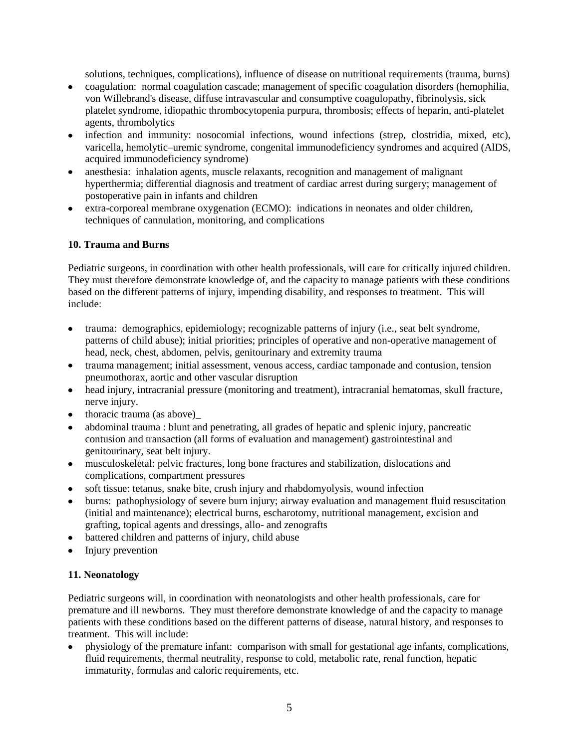solutions, techniques, complications), influence of disease on nutritional requirements (trauma, burns)

- coagulation: normal coagulation cascade; management of specific coagulation disorders (hemophilia, von Willebrand's disease, diffuse intravascular and consumptive coagulopathy, fibrinolysis, sick platelet syndrome, idiopathic thrombocytopenia purpura, thrombosis; effects of heparin, anti-platelet agents, thrombolytics
- infection and immunity: nosocomial infections, wound infections (strep, clostridia, mixed, etc),  $\bullet$ varicella, hemolytic–uremic syndrome, congenital immunodeficiency syndromes and acquired (AlDS, acquired immunodeficiency syndrome)
- anesthesia: inhalation agents, muscle relaxants, recognition and management of malignant hyperthermia; differential diagnosis and treatment of cardiac arrest during surgery; management of postoperative pain in infants and children
- extra-corporeal membrane oxygenation (ECMO): indications in neonates and older children, techniques of cannulation, monitoring, and complications

# **10. Trauma and Burns**

Pediatric surgeons, in coordination with other health professionals, will care for critically injured children. They must therefore demonstrate knowledge of, and the capacity to manage patients with these conditions based on the different patterns of injury, impending disability, and responses to treatment. This will include:

- trauma: demographics, epidemiology; recognizable patterns of injury (i.e., seat belt syndrome, patterns of child abuse); initial priorities; principles of operative and non-operative management of head, neck, chest, abdomen, pelvis, genitourinary and extremity trauma
- trauma management; initial assessment, venous access, cardiac tamponade and contusion, tension pneumothorax, aortic and other vascular disruption
- head injury, intracranial pressure (monitoring and treatment), intracranial hematomas, skull fracture,  $\bullet$ nerve injury.
- thoracic trauma (as above)\_
- abdominal trauma : blunt and penetrating, all grades of hepatic and splenic injury, pancreatic contusion and transaction (all forms of evaluation and management) gastrointestinal and genitourinary, seat belt injury.
- musculoskeletal: pelvic fractures, long bone fractures and stabilization, dislocations and complications, compartment pressures
- soft tissue: tetanus, snake bite, crush injury and rhabdomyolysis, wound infection
- burns: pathophysiology of severe burn injury; airway evaluation and management fluid resuscitation (initial and maintenance); electrical burns, escharotomy, nutritional management, excision and grafting, topical agents and dressings, allo- and zenografts
- battered children and patterns of injury, child abuse
- Injury prevention

## **11. Neonatology**

Pediatric surgeons will, in coordination with neonatologists and other health professionals, care for premature and ill newborns. They must therefore demonstrate knowledge of and the capacity to manage patients with these conditions based on the different patterns of disease, natural history, and responses to treatment. This will include:

physiology of the premature infant: comparison with small for gestational age infants, complications, fluid requirements, thermal neutrality, response to cold, metabolic rate, renal function, hepatic immaturity, formulas and caloric requirements, etc.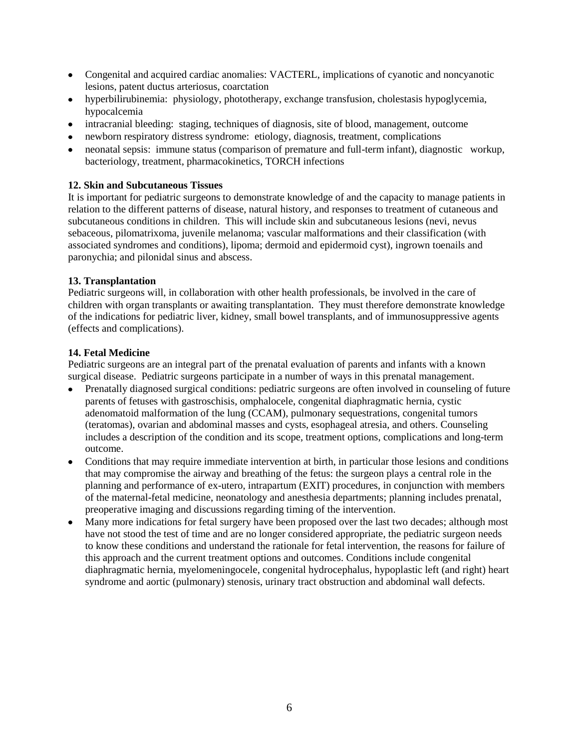- Congenital and acquired cardiac anomalies: VACTERL, implications of cyanotic and noncyanotic lesions, patent ductus arteriosus, coarctation
- hyperbilirubinemia: physiology, phototherapy, exchange transfusion, cholestasis hypoglycemia, hypocalcemia
- intracranial bleeding: staging, techniques of diagnosis, site of blood, management, outcome
- newborn respiratory distress syndrome: etiology, diagnosis, treatment, complications
- neonatal sepsis: immune status (comparison of premature and full-term infant), diagnostic workup, bacteriology, treatment, pharmacokinetics, TORCH infections

## **12. Skin and Subcutaneous Tissues**

It is important for pediatric surgeons to demonstrate knowledge of and the capacity to manage patients in relation to the different patterns of disease, natural history, and responses to treatment of cutaneous and subcutaneous conditions in children. This will include skin and subcutaneous lesions (nevi, nevus sebaceous, pilomatrixoma, juvenile melanoma; vascular malformations and their classification (with associated syndromes and conditions), lipoma; dermoid and epidermoid cyst), ingrown toenails and paronychia; and pilonidal sinus and abscess.

## **13. Transplantation**

Pediatric surgeons will, in collaboration with other health professionals, be involved in the care of children with organ transplants or awaiting transplantation. They must therefore demonstrate knowledge of the indications for pediatric liver, kidney, small bowel transplants, and of immunosuppressive agents (effects and complications).

#### **14. Fetal Medicine**

Pediatric surgeons are an integral part of the prenatal evaluation of parents and infants with a known surgical disease. Pediatric surgeons participate in a number of ways in this prenatal management.

- Prenatally diagnosed surgical conditions: pediatric surgeons are often involved in counseling of future parents of fetuses with gastroschisis, omphalocele, congenital diaphragmatic hernia, cystic adenomatoid malformation of the lung (CCAM), pulmonary sequestrations, congenital tumors (teratomas), ovarian and abdominal masses and cysts, esophageal atresia, and others. Counseling includes a description of the condition and its scope, treatment options, complications and long-term outcome.
- Conditions that may require immediate intervention at birth, in particular those lesions and conditions that may compromise the airway and breathing of the fetus: the surgeon plays a central role in the planning and performance of ex-utero, intrapartum (EXIT) procedures, in conjunction with members of the maternal-fetal medicine, neonatology and anesthesia departments; planning includes prenatal, preoperative imaging and discussions regarding timing of the intervention.
- Many more indications for fetal surgery have been proposed over the last two decades; although most have not stood the test of time and are no longer considered appropriate, the pediatric surgeon needs to know these conditions and understand the rationale for fetal intervention, the reasons for failure of this approach and the current treatment options and outcomes. Conditions include congenital diaphragmatic hernia, myelomeningocele, congenital hydrocephalus, hypoplastic left (and right) heart syndrome and aortic (pulmonary) stenosis, urinary tract obstruction and abdominal wall defects.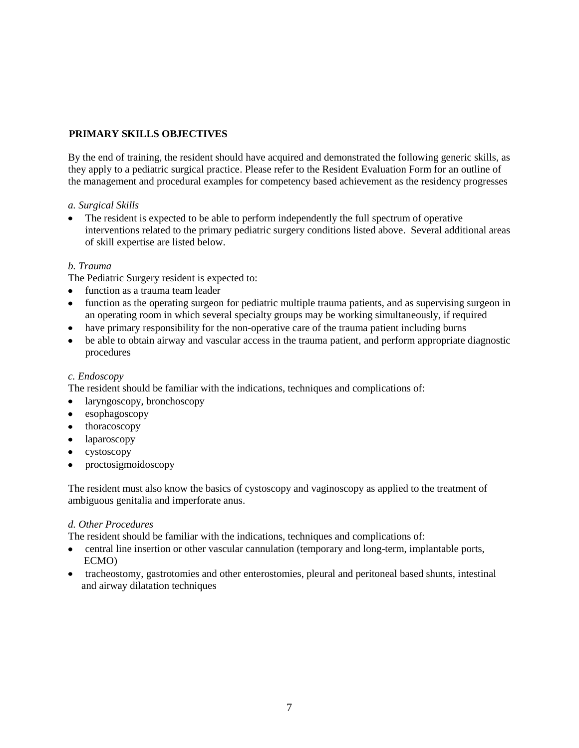# **PRIMARY SKILLS OBJECTIVES**

By the end of training, the resident should have acquired and demonstrated the following generic skills, as they apply to a pediatric surgical practice. Please refer to the Resident Evaluation Form for an outline of the management and procedural examples for competency based achievement as the residency progresses

## *a. Surgical Skills*

The resident is expected to be able to perform independently the full spectrum of operative interventions related to the primary pediatric surgery conditions listed above. Several additional areas of skill expertise are listed below.

# *b. Trauma*

The Pediatric Surgery resident is expected to:

- function as a trauma team leader
- function as the operating surgeon for pediatric multiple trauma patients, and as supervising surgeon in  $\bullet$ an operating room in which several specialty groups may be working simultaneously, if required
- have primary responsibility for the non-operative care of the trauma patient including burns
- be able to obtain airway and vascular access in the trauma patient, and perform appropriate diagnostic procedures

# *c. Endoscopy*

The resident should be familiar with the indications, techniques and complications of:

- laryngoscopy, bronchoscopy
- esophagoscopy  $\bullet$
- thoracoscopy  $\bullet$
- $\bullet$ laparoscopy
- cystoscopy
- $\bullet$ proctosigmoidoscopy

The resident must also know the basics of cystoscopy and vaginoscopy as applied to the treatment of ambiguous genitalia and imperforate anus.

## *d. Other Procedures*

The resident should be familiar with the indications, techniques and complications of:

- central line insertion or other vascular cannulation (temporary and long-term, implantable ports,  $\bullet$ ECMO)
- tracheostomy, gastrotomies and other enterostomies, pleural and peritoneal based shunts, intestinal and airway dilatation techniques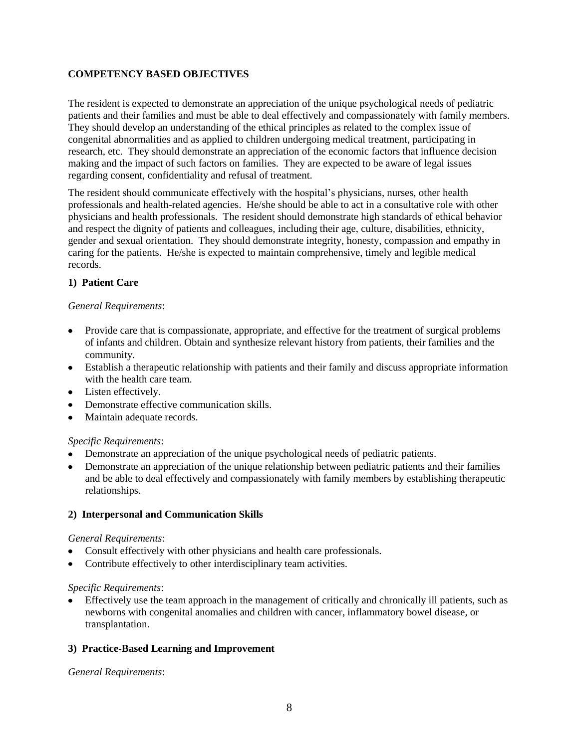# **COMPETENCY BASED OBJECTIVES**

The resident is expected to demonstrate an appreciation of the unique psychological needs of pediatric patients and their families and must be able to deal effectively and compassionately with family members. They should develop an understanding of the ethical principles as related to the complex issue of congenital abnormalities and as applied to children undergoing medical treatment, participating in research, etc. They should demonstrate an appreciation of the economic factors that influence decision making and the impact of such factors on families. They are expected to be aware of legal issues regarding consent, confidentiality and refusal of treatment.

The resident should communicate effectively with the hospital's physicians, nurses, other health professionals and health-related agencies. He/she should be able to act in a consultative role with other physicians and health professionals. The resident should demonstrate high standards of ethical behavior and respect the dignity of patients and colleagues, including their age, culture, disabilities, ethnicity, gender and sexual orientation. They should demonstrate integrity, honesty, compassion and empathy in caring for the patients. He/she is expected to maintain comprehensive, timely and legible medical records.

# **1) Patient Care**

## *General Requirements*:

- Provide care that is compassionate, appropriate, and effective for the treatment of surgical problems of infants and children. Obtain and synthesize relevant history from patients, their families and the community.
- Establish a therapeutic relationship with patients and their family and discuss appropriate information with the health care team.
- Listen effectively.
- Demonstrate effective communication skills.
- Maintain adequate records.

## *Specific Requirements*:

- Demonstrate an appreciation of the unique psychological needs of pediatric patients.
- Demonstrate an appreciation of the unique relationship between pediatric patients and their families and be able to deal effectively and compassionately with family members by establishing therapeutic relationships.

## **2) Interpersonal and Communication Skills**

#### *General Requirements*:

- Consult effectively with other physicians and health care professionals.
- Contribute effectively to other interdisciplinary team activities.  $\bullet$

## *Specific Requirements*:

Effectively use the team approach in the management of critically and chronically ill patients, such as newborns with congenital anomalies and children with cancer, inflammatory bowel disease, or transplantation.

## **3) Practice-Based Learning and Improvement**

## *General Requirements*: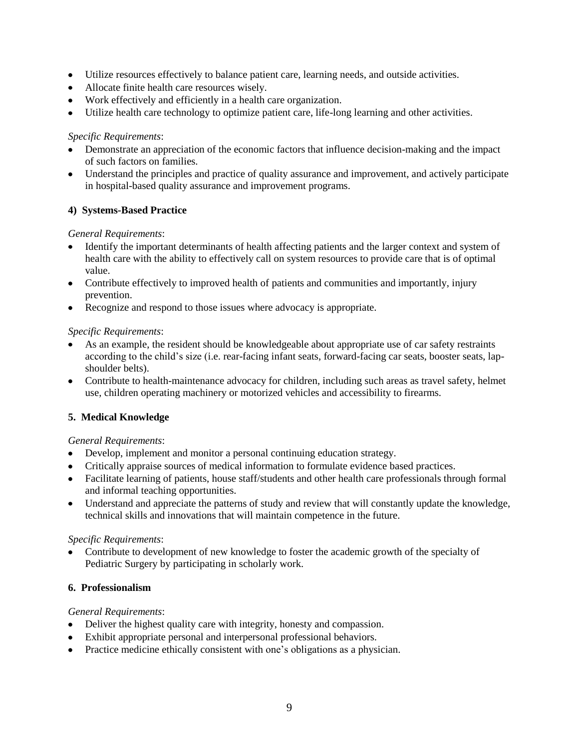- Utilize resources effectively to balance patient care, learning needs, and outside activities.
- Allocate finite health care resources wisely.
- Work effectively and efficiently in a health care organization.
- Utilize health care technology to optimize patient care, life-long learning and other activities.

# *Specific Requirements*:

- Demonstrate an appreciation of the economic factors that influence decision-making and the impact of such factors on families.
- Understand the principles and practice of quality assurance and improvement, and actively participate in hospital-based quality assurance and improvement programs.

# **4) Systems-Based Practice**

# *General Requirements*:

- Identify the important determinants of health affecting patients and the larger context and system of health care with the ability to effectively call on system resources to provide care that is of optimal value.
- Contribute effectively to improved health of patients and communities and importantly, injury prevention.
- Recognize and respond to those issues where advocacy is appropriate.

# *Specific Requirements*:

- As an example, the resident should be knowledgeable about appropriate use of car safety restraints according to the child's size (i.e. rear-facing infant seats, forward-facing car seats, booster seats, lapshoulder belts).
- Contribute to health-maintenance advocacy for children, including such areas as travel safety, helmet use, children operating machinery or motorized vehicles and accessibility to firearms.

# **5. Medical Knowledge**

## *General Requirements*:

- Develop, implement and monitor a personal continuing education strategy.
- Critically appraise sources of medical information to formulate evidence based practices.
- Facilitate learning of patients, house staff/students and other health care professionals through formal and informal teaching opportunities.
- Understand and appreciate the patterns of study and review that will constantly update the knowledge, technical skills and innovations that will maintain competence in the future.

## *Specific Requirements*:

Contribute to development of new knowledge to foster the academic growth of the specialty of Pediatric Surgery by participating in scholarly work.

## **6. Professionalism**

## *General Requirements*:

- Deliver the highest quality care with integrity, honesty and compassion.
- Exhibit appropriate personal and interpersonal professional behaviors.
- Practice medicine ethically consistent with one's obligations as a physician.